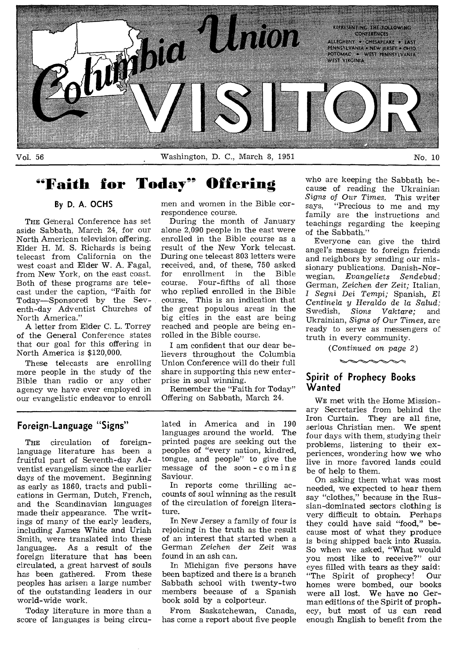

Vol. 56 No. 10 Washington, D. C., March 8, 1951 No. 10

## **"Faith for Today" Offering**

#### **By D. A. OCHS**

THE General Conference has set aside Sabbath, March 24, for our North American television offering. Elder H. M. S. Richards is being telecast from California on the west coast and Elder W. A. Fagal, from New York, on the east coast. Both of these programs are telecast under the caption, "Faith for Today—Sponsored by the Seventh-day Adventist Churches of North America."

A letter from Elder C. L. Torrey of the General Conference states that our goal for this offering in North America is \$120,000.

These telecasts are enrolling more people in the study of the Bible than radio or any other agency we have ever employed in our evangelistic endeavor to enroll men and women in the Bible correspondence course.

During the month of January alone 2,090 people in the east were enrolled in the Bible course as a result of the New York telecast. During one telecast 803 letters were received, and, of these, 750 asked for enrollment in the Bible<br>course. Four-fifths of all those Four-fifths of all those who replied enrolled in the Bible course. This is an indication that the great populous areas in the big cities in the east are being reached and people are being enrolled in the Bible course.

I am confident that our dear believers throughout the Columbia Union Conference will do their full share in supporting this new enterprise in soul winning.

Remember the "Faith for Today" Offering on Sabbath, March 24.

#### **Foreign-Language "Signs"**

THE circulation of foreignlanguage literature has been a fruitful part of Seventh-day Adventist evangelism since the earlier days of the movement. Beginning as early as 1860, tracts and publications in German, Dutch, French, and the Scandinavian languages made their appearance. The writings of many of the early leaders, including James White and Uriah Smith, were translated into these languages. As a result of the foreign literature that has been circulated, a great harvest of souls has been gathered. From these peoples has arisen a large number of the outstanding leaders in our world-wide work.

Today literature in more than a score of languages is being circulated in America and in 190 languages around the world. The printed pages are seeking out the peoples of "every nation, kindred, tongue, and people" to give the message of the soon-coming Saviour.

In reports come thrilling accounts of soul winning as the result of the circulation of foreign literature.

In New Jersey a family of four is rejoicing in the truth as the result of an interest that started when a German Zeichen der Zeit was found in an ash can.

In Michigan five persons have been baptized and there is a branch Sabbath school with twenty-two members because of a Spanish book sold by a colporteur.

From Saskatchewan, Canada, has come a report about five people

who are keeping the Sabbath because of reading the Ukrainian *Signs of Our Times.* This writer "Precious to me and my family are the instructions and teachings regarding the keeping of the Sabbath."

Everyone can give the third angel's message to foreign friends and neighbors by sending our missionary publications. Danish-Norwegian, *Evangeliets Sendebud;*  German, *Zeichen der* Zeit; Italian, *I Segni Dei Tempi;* Spanish, *El Centinela y Heraldo de la Salud;*  Swedish, *Sions Vaktare;* and Ukrainian, *Signs of Our Times,* are ready to serve as messengers of truth in every community.

*(Continued on page 2)* 

#### **Spirit of Prophecy Books Wanted**

WE met with the Home Missionary Secretaries from behind the Iron Curtain. They are all fine, serious Christian men. We spent four days with them, studying their problems, listening to their experiences, wondering how we who live in more favored lands could be of help to them.

On asking them what was most needed, we expected to hear them say "clothes," because in the Russian-dominated sectors clothing is very difficult to obtain. Perhaps they could have said "food," because most of what they produce is being shipped back into Russia. So when we asked, "What would you most like to receive?" our eyes filled with tears as they said:<br>"The Spirit of prophecy! Our "The Spirit of prophecy! homes were bombed, our books were all lost. We have no German editions of the Spirit of prophecy, but most of us can read enough English to benefit from the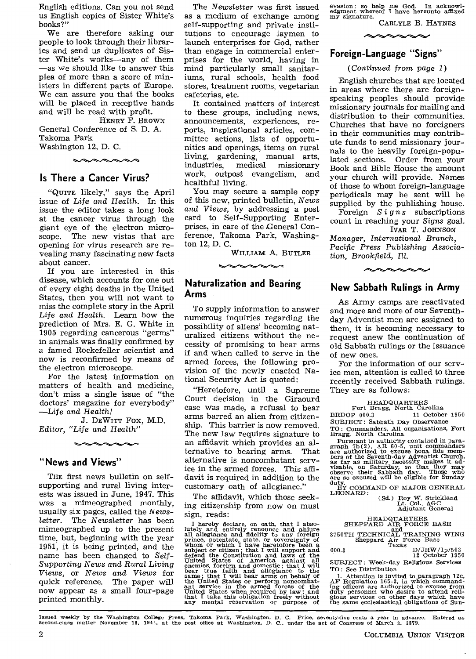English editions. Can you not send us English copies of Sister White's books?"

We are therefore asking our people to look through their libraries and send us duplicates of Sister White's works—any of them —as we should like to answer this plea of more than a score of ministers in different parts of Europe. We can assure you that the books will be placed in receptive hands and will be read with profit.

HENRY F. BROWN General Conference of S. D. A. Takoma Park

Washington 12, D. C.

#### **Is There a Cancer Virus?**

"QUITE likely," says the April issue of Life and *Health.* In this issue the editor takes a long look at the cancer virus through the giant eye of the electron microscope. The new vistas that are opening for virus research are revealing many fascinating new facts about cancer.

If you are interested in this disease, which accounts for one out of every eight deaths in the United States, then you will not want to miss the complete story in the April *Life and Health.* Learn how the prediction of Mrs. E. G. White in 1905 regarding cancerous "germs" in animals was finally confirmed by a famed Rockefeller scientist and now is reconfirmed by means of the electron microscope.

For the latest information on matters of health and medicine, don't miss a single issue of "the doctors' magazine for everybody" —Life and *Health!* 

J. DEWITT Fox, M.D. *Editor, "Life and Health"* 

#### **"News and Views"**

THE first news bulletin on selfsupporting and rural living interests was issued in June, 1947. This was a mimeographed monthly, usually six pages, called the *Newsletter.* The *Newsletter* has been mimeographed up to the present time, but, beginning with the year 1951, it is being printed, and the name has been changed to *Self-Supporting News and Rural Living Views,* or News *and Views* for quick reference. The paper will now appear as a small four-page printed monthly.

The *Newsletter* was first issued as a medium of exchange among self-supporting and private institutions to encourage laymen to launch enterprises for God, rather than engage in commercial enterprises for the world, having in mind particularly small sanitariums, rural schools, health food stores, treatment rooms, vegetarian cafeterias, etc.

It contained matters of interest to these groups, including news, announcements, experiences, reports, inspirational articles, committee actions, lists of opportunities and openings, items on rural living, gardening, manual arts, missionary work, outpost evangelism, and healthful living.

You may secure a sample copy of this new, printed bulletin, *News and Views,* by addressing a post card to Self-Supporting Enterprises, in care of the ,General Conference, Takoma Park, Washington 12, D. C.

WILLIAM A. BUTLER

#### **Naturalization and Bearing Arms**

To supply information to answer numerous inquiries regarding the possibility of aliens' becoming naturalized citizens without the necessity of promising to bear arms if and when called to serve in the armed forces, the following provision of the newly enacted National Security Act is quoted:

"Heretofore, until a Supreme Court decision in the Giraourd case was made, a refusal to bear arms barred an alien from citizenship. This barrier is now removed. The new law requires signature to an affidavit which provides an alternative to bearing arms. That alternative is noncombatant service in the armed forces. This affidavit is required in addition to the customary oath of allegiance."

The affidavit, which those seeking citizenship from now on must sign, reads:

I hereby declare, on oath, that I absolutely and entirely renounce and ability all allegiance and field<br>ity compromes and ability of whom or which I allegiance and field<br>ity to any foreign prince, potentate, state, or sov

evasion : so help me God. In acknowl-edgment whereof I have hereunto affixed my signature. CARLYLE B. HAYNES

#### **Foreign-Language "Signs"**

#### (Continued from page 1)

English churches that are located in areas where there are foreignspeaking peoples should provide missionary journals for mailing and distribution to their communities. Churches that have no foreigners in their communities may contribute funds to send missionary journals to the heavily foreign-populated sections. Order from your Book and Bible House the amount your church will provide. Names of those to whom foreign-language periodicals may be sent will be supplied by the publishing house.

Foreign *Signs* subscriptions count in reaching your *Signs* goal. IVAR T. JOHNSON

*Manager, International Branch, Pacific Press Publishing Association, Brookfield, Ill.* 



#### **New Sabbath Rulings in Army**

As Army camps are reactivated and more and more of our Seventhday Adventist men are assigned to them, it is becoming necessary to request anew the continuation of old Sabbath rulings or the issuance of new ones.

For the information of our service men, attention is called to three recently received Sabbath rulings. They are as follows:

HEADQUARTERS Fort Bragg, North Carolina BRDOP 000.3 11 October 1950 SUBJECT: Sabbath Day Observance TO: Commanders, All organizations, Fort Bragg, North Carolina

Pursuant to authority contained in paragraph 7b(2), AR 60-5, unit commanders are authorized to excuse bona fide members of the Seventh-day Adventist Church, as far as military necessity makes it advisable, on Saturday, so

duty.<br>BY COMMAND OF MAJOR GENERAL<br>LEONARD:

(Sd.) Roy W. Strickland Lt. Col., AGC Adjutant General

HEAD AIR FORCE BASE<br>
3750TH TECHNICAL TRAINING WING<br>
Sheppard Air Force Base<br>
000.3 D/JRW/1p/503

D/JRW/1p/503<br>12 October 1950

SUBJECT : Week-day Religious Services TO: See Distribution

1. Attention is invited to paragraph 12c, AF Regulation 165-3, in which command-<br>ing officers are authorized to excuse from<br>duty personnel who desire to attend reli-<br>duty personnel who desire to attend reli-<br>gious services

Issued weekly by the Washington College Press, Takoma Park, Washington, D. C. Price, seventy-five cents a year in advance. Entered as<br>second-class matter November 10, 1941, at the post office at Washington, D. C., under th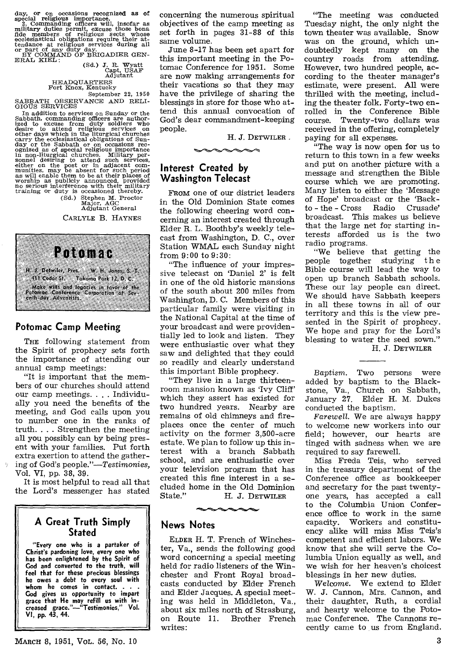day, or on occasions recognized as of special religious importance.<br>
2. Commanding officers will, insofar as military duties permit, excuse those bona fide members of religious sects whose<br>
ecclesiastical obligations requ

|          | d.) J. R. Wyatt |
|----------|-----------------|
|          | Capt, USAF      |
| Adjutant |                 |

HEADQUARTERS Fort Knox, Kentucky

September 22, 1950 SABBATH OBSERVANCE AND RELI-<br>GIOUS SERVICES

GIOUS SERVICES<br>
In addition to services on Sunday or the<br>
Sabbath, commanding officers on Sunday or the<br>
Sabbath, commanding officers are author-<br>
ized to excuse from duty soldiers who<br>
other days which in the liturgical c

(Sd.) Stephen M. Proctor Major, AGC Adjutant General

CARLYLE B. HAYNES



#### **Potomac Camp Meeting**

THE following statement from the Spirit of prophecy sets forth the importance of attending our annual camp meetings:

"It is important that the members of our churches should attend our camp meetings. . . . Individually you need the benefits of the meeting, and God calls upon you to number one in the ranks of truth. . . . Strengthen the meeting all you possibly can by being present with your families. Put forth extra exertion to attend the gathering of God's *people."—Testimonies,*  Vol. VI, pp. 38, 39.

It is most helpful to read all that the Lord's messenger has stated

#### **A Great Truth Simply Stated**

**"Every one who is a partaker of Christ's pardoning love, every one who has been enlightened by the Spirit of God and converted to the truth, will feel that for these precious blessings he owes a debt to every soul with whom he comes in contact. . . . Cod gives us opportunity to impart grace that He may refill us with increased grace."—"Testimonies," Vol. VI, pp. 43, 44.** 

concerning the numerous spiritual objectives of the camp meeting as set forth in pages 31-88 of this same volume.

June 8-17 has been set apart for this important meeting in the Potomac Conference for 1951. Some are now making arrangements for their vacations so that they may have the privilege of sharing the blessings in store for those who attend this annual convocation of God's dear commandment-keeping people.

H. J. DETWILER

#### **Interest Created by Washington Telecast**

FROM one of our district leaders in the Old Dominion State comes the following cheering word concerning an interest created through Elder R. L. Boothby's weekly telecast from Washington, D. C., over Station WMAL each Sunday night from 9:00 to 9:30:

"The influence of your impressive telecast on 'Daniel 2' is felt in one of the old historic mansions of the south about 200 miles from Washington, D. C. Members of this particular family were visiting in the National Capital at the time of your broadcast and were providentially led to look and listen. They were enthusiastic over what they saw and delighted that they could so readily and clearly understand this important Bible prophecy.

"They live in a large thirteenroom mansion known as 'Ivy Cliff' which they assert has existed for two hundred years. Nearby are remains of old chimneys and fireplaces once the center of much activity on the former 3,500-acre estate. We plan to follow up this interest with a branch Sabbath school, and are enthusiastic over your television program that has created this fine interest in a secluded home in the Old Dominion<br>State." H. J. DETWILER

H. J. DETWILER

#### **News Notes**

ELDER H. T. French of Winchester, Va., sends the following good word concerning a special meeting held for radio listeners of the Winchester and Front Royal broadcasts conducted by Elder French and Elder Jacques. A special meeting was held in Middleton, Va., about six miles north of Strasburg,<br>on Route 11. Brother French Brother French writes:

"The meeting was conducted Tuesday night, the only night the town theater was available. Snow was on the ground, which undoubtedly kept many on the country roads from attending. However, two hundred people, according to the theater manager's estimate, were present. All were thrilled with the meeting, including the theater folk. Forty-two enrolled in the Conference Bible course. Twenty-two dollars was received in the offering, completely paying for all expenses.

"The way is now open for us to return to this town in a few weeks and put on another picture with a message and strengthen the Bible course which we are promoting. Many listen to either the 'Message of Hope' broadcast or the 'Back $to$  -  $the$  -  $Cross$ broadcast. This makes us believe that the large net for starting interests afforded us is the two radio programs.

"We believe that getting the people together studying the Bible course will lead the way to open up branch Sabbath schools. These our lay people can direct. We should have Sabbath keepers in all these towns in all of our territory and this is the view presented in the Spirit of prophecy. We hope and pray for the Lord's blessing to water the seed sown." H. J. DETWILER

*Baptism.* Two persons were added by baptism to the Blackstone, Va., Church on Sabbath, January 27. Elder H. M. Dukes conducted the baptism.

*Farewell.* We are always happy to welcome new workers into our field; however, our hearts are tinged with sadness when we are required to say farewell.

Miss Freda Teis, who served in the treasury department of the Conference office as bookkeeper and secretary for the past twentyone years, has accepted a call to the Columbia Union Conference office to work in the same capacity. Workers and constituency alike will miss Miss Teis's competent and efficient labors. We know that she will serve the Columbia Union equally as well, and we wish for her heaven's choicest blessings in her new duties.

*Welcome.* We extend to Elder W. J. Cannon, Mrs. Cannon, and their daughter, Ruth, a cordial and hearty welcome to the Potomac Conference. The Cannons recently came to us from England.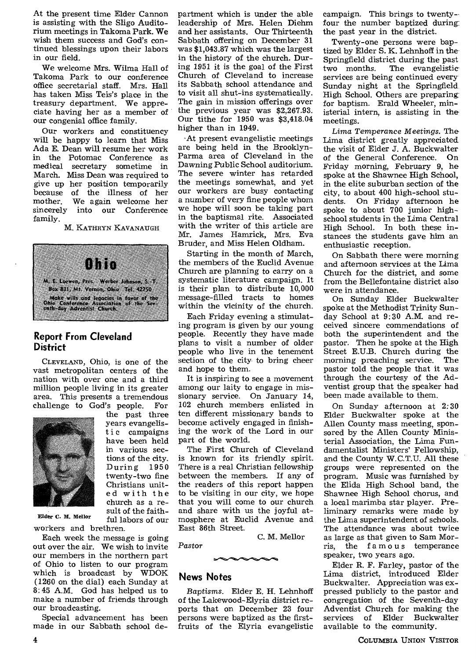At the present time Elder Cannon is assisting with the Sligo Auditorium meetings in Takoma Park. We wish them success and God's continued blessings upon their labors in our field.

We welcome Mrs. Wilma Hall of Takoma Park to our conference office secretarial staff. Mrs. Hall has taken Miss Teis's place in the treasury department. We appreciate having her as a member of our congenial office family.

Our workers and constituency will be happy to learn that Miss Ada E. Dean will resume her work in the Potomac Conference as medical secretary sometime in March. Miss Dean was required to give up her position temporarily because of the illness of her mother. We again welcome her We again welcome her sincerely into our Conference family.

#### M. KATHRYN KAVANAUGH



#### **Report From Cleveland District**

CLEVELAND, Ohio, is one of the vast metropolitan centers of the nation with over one and a third million people living in its greater area. This presents a tremendous challenge to God's people. For



the past three years evangelistic campaigns have been held in various sections of the city. During 1950 twenty-two fine Christians united with the church as a result of the faithful labors of our

Elder C. M. Mellor

workers and brethren. Each week the message is going out over the air. We wish to invite our members in the northern part of Ohio to listen to our program which is broadcast by WDOK (1260 on the dial) each Sunday at 8:45 A.M. God has helped us to make a number of friends through our broadcasting.

Special advancement has been made in our Sabbath school department which is under the able leadership of Mrs. Helen Diehm and her assistants. Our Thirteenth Sabbath offering on December 31 was \$1,043.87 which was the largest in the history of the church. During 1951 it is the goal of the First Church of Cleveland to increase its Sabbath school attendance and to visit all shut-ins systematically. The gain in mission offerings over the previous year was \$2,267.93. Our tithe for 1950 was \$3,418.04 higher than in 1949.

•At present evangelistic meetings are being held in the Brooklyn-Parma area of Cleveland in the Dawning Public School auditorium. The severe winter has retarded the meetings somewhat, and yet our workers are busy contacting a number of very fine people whom we hope will soon be taking part in the baptismal rite. Associated with the writer of this article are Mr. James Hamrick, Mrs. Eva Bruder, and Miss Helen Oldham.

Starting in the month of March, the members of the Euclid Avenue Church are planning to carry on a systematic literature campaign. It is their plan to distribute 10,000 message-filled tracts to homes within the vicinity of the church.

Each Friday evening a stimulating program is given by our young people. Recently they have made plans to visit a number of older people who live in the tenement section of the city to bring cheer and hope to them.

It is inspiring to see a movement among our laity to engage in missionary service. On January 14, 102 church members enlisted in ten different missionary bands to become actively engaged in finishing the work of the Lord in our part of the world.

The First Church of Cleveland is known for its friendly spirit. There is a real Christian fellowship between the members. If any of the readers of this report happen to be visiting in our city, we hope that you will come to our church and share with us the joyful atmosphere at Euclid Avenue and East 86th Street.

C. M. Mellor

#### **News Notes**

*Pastor* 

*Baptisms.* Elder E. H. Lehnhoff of the Lakewood-Elyria district reports that on December 23 four persons were baptized as the firstfruits of the Elyria evangelistic campaign. This brings to twenty- four the number baptized during: the past year in the district.

Twenty-one persons were baptized by Elder S. K. Lehnhoff in the Springfield district during the past<br>two months. The evangelistic The evangelistic services are being continued every Sunday night at the Springfield High School. Others are preparing: for baptism. Erald Wheeler, ministerial intern, is assisting in the meetings.

*Lima Temperance Meetings.* The Lima district greatly appreciated the visit of Elder J. A. Buckwalter of the General Conference. On Friday morning, February 9, he spoke at the Shawnee High School, in the elite suburban section of the city, to about 400 high-school students. On Friday afternoon he spoke to about 700 junior highschool students in the Lima Central High School. In both these instances the students gave him an enthusiastic reception.

On Sabbath there were morning and afternoon services at the Lima Church for the district, and some from the Bellefontaine district also were in attendance.

On Sunday Elder Buckwalter spoke at the Methodist Trinity Sunday School at 9:30 A.M. and received sincere commendations of both the superintendent and the pastor. Then he spoke at the High Street E.U.B. Church during the morning preaching service. The morning preaching service. pastor told the people that it was through the courtesy of the Adventist group that the speaker had been made available to them.

On Sunday afternoon at 2:30 Elder Buckwalter spoke at the Allen County mass meeting, sponsored by the Allen County Ministerial Association, the Lima Fundamentalist Ministers' Fellowship, and the County W.C.T.U. All these groups were represented on the program. Music was furnished by the Elida High School band, the Shawnee High School chorus, and a local marimba star player. Preliminary remarks were made by the Lima superintendent of schools. The attendance was about twice as large as that given to Sam Morris, the famous temperance speaker, two years ago.

Elder R. F. Farley, pastor of the Lima district, introduced Elder Buckwalter. Appreciation was expressed publicly to the pastor and congregation of the Seventh-day Adventist Church for making the<br>services of Elder Buckwalter services of available to the community.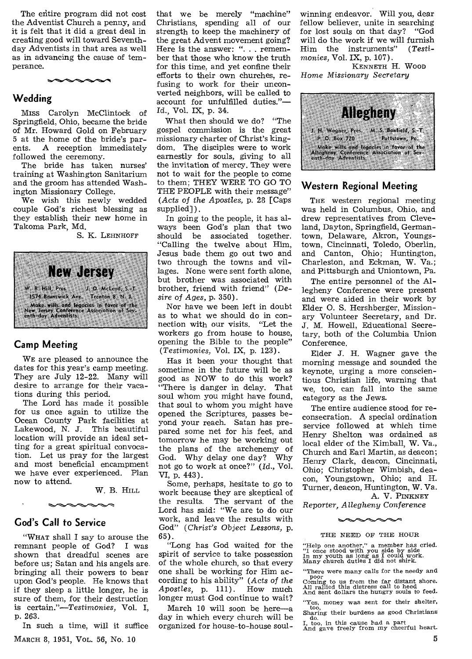The entire program did not cost the Adventist Church a penny, and it is felt that it did a great deal in creating good will toward Seventhday Adventists in that area as well as in advancing the cause of temperance.



#### **Wedding**

Miss Carolyn McClintock of Springfield, Ohio, became the bride of Mr. Howard Gold on February 5 at the home of the bride's par-<br>ents. A reception immediately A reception immediately followed the ceremony.

The bride has taken nurses' training at Washington Sanitarium and the groom has attended Washington Missionary College.

We wish this newly wedded couple God's richest blessing as they establish their new home in Takoma Park, Md.

S. K. LEHNHOFF



#### **Camp Meeting**

WE are pleased to announce the dates for this year's camp meeting. They are July 12-22. Many will desire to arrange for their vacations during this period.

The Lord has made it possible for us once again to utilize the Ocean County Park facilities at Lakewood, N. J. This beautiful location will provide an ideal setting for a great spiritual convocation. Let us pray for the largest and most beneficial encampment we have ever experienced. Plan now to attend.

W. B. HILL

#### **God's Call to Service**

"WHAT shall I say to arouse the<br>mnant people of God? I was remnant people of God? shown that dreadful scenes are before us; Satan and his angels are bringing all their powers to bear upon God's people. He knows that if they sleep a little longer, he is sure of them, for their destruction is certain."—Testimonies, Vol. I, p. 263.

In such a time, will it suffice MARCH 8, 1951, VoL. 56, No. 10

that we be merely "machine" Christians, spending all of our strength to keep the machinery of the great Advent movement going? Here is the answer: ". . . remember that those who know the truth for this time, and yet confine their efforts to their own churches, refusing to work for their unconverted neighbors, will be called to account for unfulfilled duties."— Id., Vol. IX, p. 34.

What then should we do? "The gospel commission is the great missionary charter of Christ's kingdom. The disciples were to work earnestly for souls, giving to all the invitation of mercy. They were not to wait for the people to come to them; THEY WERE TO GO TO THE PEOPLE with their message" *(Acts of the Apostles,* p. 28 [Caps supplied]).

In going to the people, it has always been God's plan that two should be associated together. "Calling the twelve about Him, Jesus bade them go out two and two through the towns and villages. None were sent forth alone, but brother was associated with brother, friend with friend" *(Desire of Ages,* p. 350).

Nor have we been left in doubt as to what we should do in connection with our visits. "Let the workers go from house to house, opening the Bible to the people" *(Testimonies,* Vol. IX, p. 123).

Has it been your thought that sometime in the future will be as good as NOW to do this work? "There is danger in delay. That soul whom you might have found, that soul to whom you might have opened the Scriptures, passes beyond your reach. Satan has prepared some net for his feet, and tomorrow he may be working out the plans of the archenemy of God. Why delay one day? Why not go to work at once?" *(Id.,* Vol. VI, p. 443).

Some, perhaps, hesitate to go to work because they are skeptical of the results. The servant of the Lord has said: "We are to do our work, and leave the results with God" *(Christ's Object Lessons,* p. 65).

"Long has God waited for the spirit of service to take possession of the whole church, so that every one shall be working for Him according to his ability" *(Acts of the Apostles,* p. 111). How much longer must God continue to wait?

March 10 will soon be here—a day in which every church will be organized for house-to-house soul-

winning endeavor. Will you, dear fellow believer, unite in searching for lost souls on that day? "God will do the work if we will furnish<br>Him the instruments'' (Testi-Him the instruments" *monies,* Vol. IX, p. 107).

KENNETH H. WOOD *Home Missionary Secretary* 



#### **Western Regional Meeting**

THE western regional meeting was held in Columbus, Ohio, and drew representatives from Cleveland, Dayton, Springfield, Germantown, Delaware, Akron, Youngstown, Cincinnati, Toledo, Oberlin, and Canton, Ohio; Huntington, Charleston, and Eckman, W. Va.; and Pittsburgh and Uniontown, Pa.

The entire personnel of the Allegheny Conference were present and were aided in their work by Elder 0. S. Hershberger, Missionary Volunteer Secretary, and Dr. J. M. Howell, Educational Secretary, both of the Columbia Union Conference.

Elder J. H. Wagner gave the morning message and sounded the keynote, urging a more conscientious Christian life, warning that we, too, can fall into the same category as the Jews.

The entire audience stood for reconsecration. A special ordination service followed at which time Henry Shelton was ordained as local elder of the Kimball, W. Va., Church and Earl Martin, as deacon; Henry Clark, deacon, Cincinnati, Ohio; Christopher Wimbish, deacon, Youngstown, Ohio; and H. Turner, deacon, Huntington, W. Va. A. V. PINKNEY

Reporter, *Allegheny Conference* 

### the second second second second second second second second second second second second second second second s THE NEED OF THE HOUR

"Help one another," a member has cried. "I once stood with you side by side In my youth as long as I could work. Many church duties I did not shirk.

"There were many calls for the needy and poor

poor Coming to us from the far distant shore. All rallied this distress call to heed And sent dollars the hungry souls to feed.

"Yes, money was sent for their shelter,<br>too. too,<br>
Sharing their burdens as good Christians<br>
do.<br>
I, too, in this cause had a part<br>
And gave freely from my cheerful heart.

5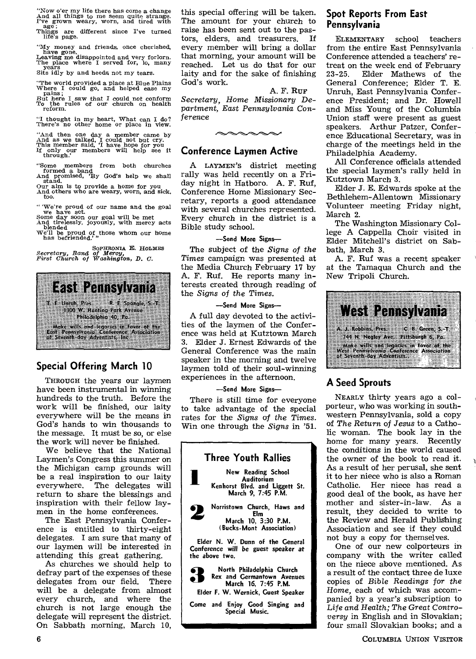"Now o'er my life there has come a change And all things to me seem quite strange. I've grown weary, worn, and tired with age; Things are different since I've turned life's page.

"My money and friends, once cherished,

have gone,<br>
Leaving me disappointed and very forlorn.<br>
The place where I served for, lo, many<br>
years Sits idly by and heeds not my tears.

"The world provided a place at Blue Plains Where I could go, and helped ease my pains;

But *here I saw that* I could not *conform*  To the rules of our church on health reform.

"I thought in my heart, What can I do? There's no other home or place in view.

"And then one day a member came by And as we talked, I could not but cry. This member said, 'I have hope for you If only our members will help *see* it through.'

"Some members from both churches formed a band And promised, 'By God's help we shall stand.

Our aim is to provide a home for you And others who are weary, worn, and sick, too.

"We're proud of our name and the goal Some day soon our goal will be met<br>Some day soon our goal will be met<br>And tirelessly, joyously, with mercy acts<br>blended<br>We'll be proud of those whom our home<br>has befriended.'

*SOPHRON1A.* E. *HOLMES Secretary, Band of Mercy, First Church of Washington, D. C.* 



#### **Special Offering March 10**

THROUGH the years our laymen have been instrumental in winning hundreds to the truth. Before the work will be finished, our laity everywhere will be the means in God's hands to win thousands to the message. It must be so, or else the work will never be finished.

We believe that the National Laymen's Congress this summer on the Michigan camp grounds will be a real inspiration to our laity<br>everywhere. The delegates will The delegates will return to share the blessings and inspiration with their fellow laymen in the home conferences.

The East Pennsylvania Conference is entitled to thirty-eight delegates. I am sure that many of our laymen will be interested in attending this great gathering.

As churches we should help to defray part of the expenses of these delegates from our field. There will be a delegate from almost every church, and where the church is not large enough the delegate will represent the district. On Sabbath morning, March 10, this special offering will be taken. The amount for your church to raise has been sent out to the pastors, elders, and treasurers. If every member will bring a dollar that morning, your amount will be reached. Let us do that for our laity and for the sake of finishing God's work.

A. F. RUF *Secretary, Home Missionary Department, East Pennsylvania* Conference

 $\sim\sim\sim\sim$ 

#### **Conference Laymen Active**

A LAYMEN'S district meeting rally was held recently on a Friday night in Hatboro. A. F. Ruf, Conference Home Missionary Secretary, reports a good attendance with several churches represented. Every church in the district is a Bible study school.

#### **—Send More Signs—**

The subject of the *Signs of the Times* campaign was presented at the Media Church February 17 by A. F. Ruf. He reports many interests created through reading of the *Signs of the Times.* 

#### **—Send More Signs—**

**A** full day devoted to the activities of the laymen of the Conference was held at Kutztown March 3. Elder **J.** Ernest Edwards of the General Conference was the main speaker in the morning and twelve laymen told of their soul-winning experiences in the afternoon.

#### **—Send More Signs—**

There is still time for everyone to take advantage of the special rates for the *Signs of the Times.*  Win one through the *Signs* in '51.



#### **Spot Reports From East Pennsylvania**

ELEMENTARY school teachers from the entire East Pennsylvania Conference attended a teachers' retreat on the week end of February<br>23-25. Elder Mathews of the Elder Mathews of the General Conference; Elder T. E. Unruh, East Pennsylvania Conference President; and Dr. Howell and Miss Young of the Columbia Union staff were present as guest speakers. Arthur Patzer, Conference Educational Secretary, was in charge of the meetings held in the Philadelphia Academy.

All Conference officials attended the special laymen's rally held in Kutztown March 3.

Elder J. E. Edwards spoke at the Bethlehem-Allentown Missionary Volunteer meeting Friday night, March 2.

The Washington Missionary College A Cappella Choir visited in Elder Mitchell's district on Sabbath, March 3.

A. F. Ruf was a recent speaker at the Tamaqua Church and the New Tripoli Church.



### **A Seed Sprouts**

NEARLY thirty years ago a colporteur, who was working in southwestern Pennsylvania, sold a copy of *The* Return of *Jesus* to a Catholic woman. The book lay in the home for many years. Recently the conditions in the world caused the owner of the book to read it. As a result of her perusal, she sent it to her niece who is also a Roman Catholic. Her niece has read a good deal of the book, as have her mother and sister-in-law. As a result, they decided to write to the Review and Herald Publishing Association and see if they could not buy a copy for themselves.

One of our new colporteurs in company with the writer called on the niece above mentioned. As a result of the contact three de luxe copies of *Bible Readings for the Home,* each of which was accompanied by a year's subscription to Life and *Health;* The Great Controversy in English and in Slovakian; four small Slovakian books; and a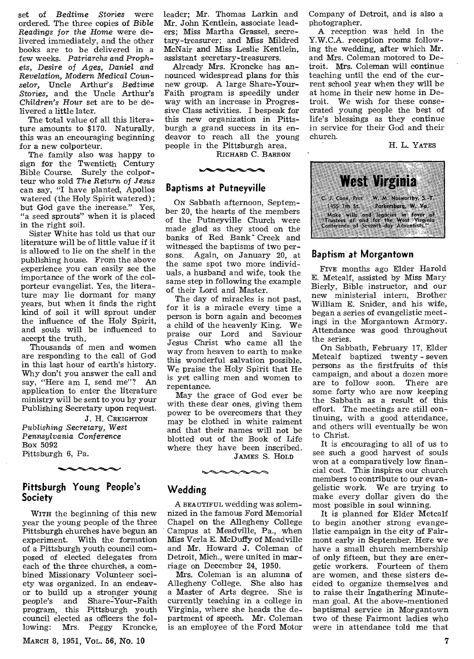set of *Bedtime Stories* were ordered. The three copies of *Bible Readings* for the *Home* were delivered immediately, and the other books are to be delivered in a few weeks. *Patriarchs and Prophets, Desire of Ages, Daniel and Revelation,* Modern *Medical Counselor,* Uncle Arthur's *Bedtime Stories,* and the Uncle Arthur's *Children's Hour* set are to be delivered a little later.

The total value of all this literature amounts to \$170. Naturally, this was an encouraging beginning for a new colporteur.

The family also was happy to sign for the Twentieth Century Bible Course. Surely the colporteur who sold *The Return of Jesus*  can say, "I have planted, Apollos watered (the Holy Spirit watered) ; but God gave the increase." Yes, "a seed sprouts" when it is placed in the right soil.

Sister White has told us that our literature will be of little value if it is allowed to lie on the shelf in the publishing house. From the above experience you can easily see the importance of the work of the colporteur evangelist. Yes, the literature may lie dormant for many years, but when it finds the right kind of soil it will sprout under the influence of the Holy Spirit, and souls will be influenced to accept the truth.

Thousands of men and women are responding to the call of God in this last hour of earth's history. Why don't you answer the call and say, "Here am I, send me"? An application to enter the literature ministry will be sent to you by your Publishing Secretary upon request.

J. H. CREIGHTON

*Publishing Secretary, West Pennsylvania* Conference Box 5092 Pittsburgh 6, Pa.

#### **Pittsburgh Young People's Society**

WITH the beginning of this new year the young people of the three Pittsburgh churches have begun an experiment. With the formation of a Pittsburgh youth council composed of elected delegates from each of the three churches, a combined Missionary Volunteer society was organized. In an endeavor to build up a stronger young<br>people's and Share-Your-Faith Share-Your-Faith program, this Pittsburgh youth council elected as officers the following: Mrs. Peggy Kroncke,

MARCH 8, 1951, VoL. 56, No. 10

leader; Mr. Thomas Larkin and Mr. John Kentlein, associate leaders; Miss Martha Grassel, secretary-treasurer; and Miss Mildred McNair and Miss Leslie Kentlein, assistant secretary-treasurers.

Already Mrs. Kroncke has announced widespread plans for this new group. A large Share-Your-Faith program is speedily under way with an increase in Progressive Class activities. I bespeak for this new organization in Pittsburgh a grand success in its endeavor to reach all the young people in the Pittsburgh area.

RICHARD C. BARRON

#### **Baptisms at Putneyville**

ON Sabbath afternoon, September 20, the hearts of the members of the Putneyville Church were made glad as they stood on the banks of Red Bank<sup>-</sup> Creek and witnessed the baptisms of two persons. Again, on January 20, at the same spot two more individuals, a husband and wife, took the same step in following the example of their Lord and Master.

The day of miracles is not past, for it is a miracle every time a person is born again and becomes a child of the heavenly King. We praise our Lord and Saviour Jesus Christ who came all the way from heaven to earth to make this wonderful salvation possible. We praise the Holy Spirit that He is yet calling men and women to repentance.

May the grace of God ever be with these dear ones, giving them power to be overcomers that they may be clothed in white raiment and that their names will not be blotted out of the Book of Life where they have been inscribed.

JAMES S. HOLD

#### **Wedding**

A BEAUTIFUL wedding was solemnized in the famous Ford Memorial Chapel on the Allegheny College Campus at Meadville, Pa., when Miss Verla E. McDuffy of Meadville and Mr. Howard J. Coleman of Detroit, Mich., were united in marriage on December 24, 1950.

Mrs. Coleman is an alumna of Allegheny College. She also has a Master of Arts degree. She is currently teaching in a college in Virginia, where she heads the department of speech. Mr. Coleman is an employee of the Ford Motor

Company of Detroit, and is also a photographer.

A reception was held in the Y.W.C.A. reception rooms following the wedding, after which Mr. and Mrs. Coleman motored to Detroit. Mrs. Coleman will continue teaching until the end of the current school year when they will be at home in their new home in Detroit. We wish for these consecrated young people the best of life's blessings as they continue in service for their God and their church.

H. L. YATES



#### **Baptism at Morgantown**

FIVE months ago Elder Harold E. Metcalf, assisted by Miss Mary Bierly, Bible instructor, and our new ministerial intern, Brother William E. Snider, and his wife, began a series of evangelistic meetings in the Morgantown Armory. Attendance was good throughout the series.

On Sabbath, February 17, Elder Metcalf baptized twenty - seven persons as the firstfruits of this campaign, and about a dozen more<br>are to follow soon. There are are to follow soon. some forty who are now keeping the Sabbath as a result of this effort. The meetings are still continuing, with a good attendance, and others will eventually be won to Christ.

It is encouraging to all of us to see such a good harvest of souls won at a comparatively low financial cost. This inspires our church members to contribute to our evangelistic work. We are trying to make every dollar given do the most possible in soul winning.

It is planned for Elder Metcalf to begin another strong evangelistic campaign in the city of Fairmont early in September. Here we have a small church membership of only fifteen, but they are energetic workers. Fourteen of them are women, and these sisters decided to organize themselves and to raise their Ingathering Minuteman goal. At the above-mentioned baptismal service in Morgantown two of these Fairmont ladies who were in attendance told me that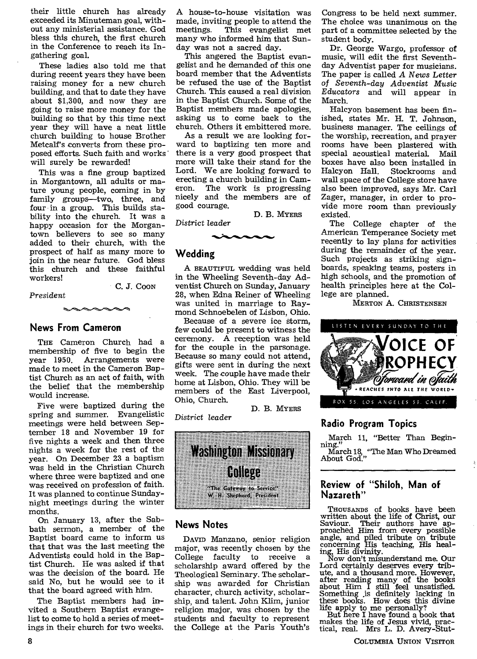their little church has already exceeded its Minuteman goal, without any ministerial assistance. God bless this church, the first church in the Conference to reach its Ingathering goal.

These ladies also told me that during recent years they have been raising money for a new church building, and that to date they have about \$1,300, and now they are going to raise more money for the building so that by this time next year they will have a neat little church building to house Brother Metcalf's converts from these proposed efforts. Such faith and works' will surely be rewarded!

This was a fine group baptized in Morgantown, all adults or mature young people, coming in by family groups—two, three, and four in a group. This builds stability into the church. It was a happy occasion for the Morgantown believers to see so many added to their church, with the prospect of half as many more to join in the near future. God bless this church and these faithful workers! C. J. COON

*President* 

## **News From Cameron**

THE Cameron Church had a membership of five to begin the year 1950. Arrangements were made to meet in the Cameron Baptist Church as an act of faith, with the belief that the membership would increase.

Five were baptized during the spring and summer. Evangelistic meetings were held between September 18 and November 19 for five nights a week and then three nights a week for the rest of the year. On December 23 a baptism was held in the Christian Church where three were baptized and one was received on profession of faith. It was planned to continue Sundaynight meetings during the winter months.

On January 13, after the Sabbath sermon, a member of the Baptist board came to inform us that that was the last meeting the Adventists could hold in the Baptist Church. He was asked if that was the decision of the board. He said No, but he would see to it that the board agreed with him.

The Baptist members had invited a Southern Baptist evangelist to come to hold a series of meetings in their church for two weeks.

A house-to-house visitation was made, inviting people to attend the<br>meetings. This evangelist met This evangelist met many who informed him that Sunday was not a sacred day.

This angered the Baptist evangelist and he demanded of this one board member that the Adventists be refused the use of the Baptist Church. This caused a real division in the Baptist Church. Some of the Baptist members made apologies, asking us to come back to the church. Others it embittered more.

As a result we are looking forward to baptizing ten more and there is a very good prospect that more will take their stand for the Lord. We are looking forward to erecting a church building in Cameron. The work is progressing nicely and the members are of good courage.

D. B. MYERS

*District* leader 1.7.1ti.."Ai."14.0•1%.0.16.0

#### **Wedding**

A BEAUTIFUL wedding was held in the Wheeling Seventh-day Adventist Church on Sunday, January 28, when Edna Reiner of Wheeling was united in marriage to Raymond Schnoebelen of Lisbon, Ohio.

Because of a severe ice storm, few could be present to witness the ceremony. A reception was held for the couple in the parsonage. Because so many could not attend, gifts were sent in during the next week. The couple have made their home at Lisbon, Ohio. They will be members of the East Liverpool, Ohio, Church.

D. B. MYERS



*District leader* 



#### **News Notes**

DAVID Manzano, senior religion major, was recently chosen by the College faculty to receive a scholarship award offered by the Theological Seminary. The scholarship was awarded for Christian character, church activity, scholarship, and talent. John Klim, junior religion major, was chosen by the students and faculty to represent the College at the Paris Youth's

Congress to be held next summer. The choice was unanimous on the part of a committee selected by the student body.

Dr. George Wargo, professor of music, will edit the first Seventhday Adventist paper for musicians. The paper is called *A News* Letter of Seventh-day *Adventist Music Educators* and will appear in March.

Halcyon basement has been finished, states Mr. H. T. Johnson, business manager. The ceilings of the worship, recreation, and prayer rooms have been plastered with special acoustical material. Mail boxes have also been installed in Stockrooms and wall space of the College store have also been improved, *says* Mr. Carl Zager, manager, in order to provide more room than previously existed.

The College chapter of the American Temperance Society met recently to lay plans for activities during the remainder of the year. Such projects as striking signboards, speaking teams, posters in high schools, and the promotion of health principles here at the College are planned.

MERTON A. CHRISTENSEN



#### **Radio Program Topics**

March 11, "Better Than Beginning."

March 18, "The Man Who Dreamed About God."

#### **Review of "Shiloh, Man of Nazareth"**

THOUSANDS of books have been written about the life of Christ, our Saviour. Their authors have ap-proached Him from every possible angle, and piled tribute on tribute concerning His teaching, His healing, His divinity.

Now don't misunderstand me. Our Lord certainly deserves every tribute, and a thousand more. However, after reading many of the books about Him I still feel unsatisfied. Something is definitely lacking in these books. How does this divine life apply to me personally?

But here I have found a book that makes the life of Jesus vivid, prac-tical, real. Mrs L. D. Avery-Stut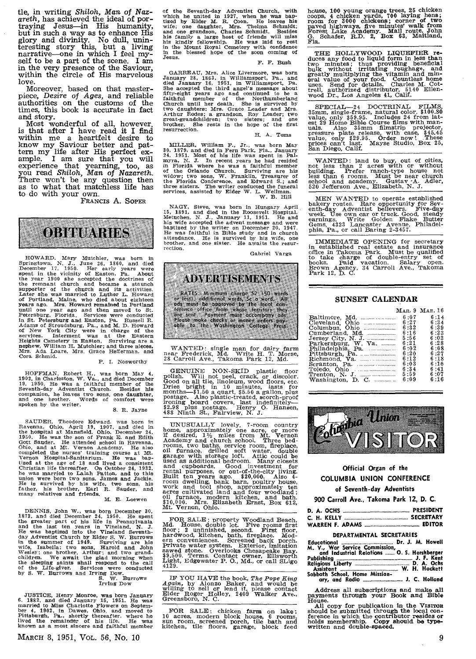tie, in writing *Shiloh, Man* of Nazareth, has achieved the ideal of por-traying Jesus-in His humanity, but in such a way as to enhance His glory and divinity. No dull, unin-teresting story this, but a living narrative-one in which I feel myself to be a part of the scene. I am in the very presence of the Saviour, within the circle of His marvelous love.

Moreover, based on that masterpiece, *Desire of Ages,* and reliable authorities on the customs of the times, this book is accurate in fact and story.

Most wonderful of all, however, is that after I have read it I find within me a heartfelt desire to know my Saviour better and pat-tern my life after His perfect ex-ample. I am sure that you will experience that yearning, too, as you read *Shiloh, Man of Nazareth.*  There won't be any question then as to what that matchless life has to do with your own.

FRANCIS A. SOPER



HOWARD, Mary Mutchler, was born in Springtown, N. J., June 26, 1860, and died December 17, 1950. Her early years were the opered the doctries of the vear 1900 she accepted the doctries of the remnant church and became a s

HOFFMAN, Robert H., was born May 4, 1902, in Charleston, W. Va., and died December 19, 1950. He was a faithful member of the Seventh-day Adventist Church. Besides his companion, he leaves two sons, one daughter, and one br

#### S. R. Jayne

SAUDER. Theodore Edward, was born in Ravenna, Chio, April 19, 1907, and died in the hospital at Mansfield, Ohio, December 24, 1950. He was the son of Frank E. and Edith Gott Sauder. He attended school in Ravenna, Ohio, an

DENNIS, John W., was born December 20, 1873, and died December 24, 1950. He spent and the last ten vears in Vineland, N. J. He spent and the last ten vears in Vineland, N. J. He was baptized into the Vineland Seventhin the

JUSTICE, Henry Monroe, was born January<br>6. 1882, and died January 15, 1951. He was<br>married to Miss Charlotte Flowers on Septem-<br>ber 4, 1902, in Dawes, Ohio, and moved to<br>Pittsburgh, Pa., shortly thereafter, where he<br>lived

of the Seventh-day Adventist Church, with<br>which he united in 1927, when he was bap-<br>triged by Elder M. R. Coon. He leaves his<br>wife; one danghter, Mrs. Thelma Schmidt,<br>and one grandson, Charles Schmidt, Besldes<br>had one rand

F. F. Bush

GARREAU, Mrs. Alice Livermore, was born<br>January 28, 1863, in Williamsport, Pa., and<br>died January 16, 1951, in Williamsport, Pa.<br>She accepted the third angel's message about<br>fifty-eight vears ago and continued to be a<br>faith

H. A. Toms

MILLER, William F., Jr., was born May 30, 1879, and died in Fern Park, Fla., January 24, 1951. Most of his life was spent in Fal-<br>myra, N. J. In recent years he had resided in Fiorida where he was a faithful member<br>of the

NAGY, Steve, was born in Hungary April 15, 1831, and died in the Roosevelt Hospital. Mettuchen, N. J. January 11, 1951. He and his wife accepted the advent message and were baptized by the writter on December 20, 1947. He

Gabriel Varga



WANTED ; single man for dairy farm near Frederick, Md. Write H. T. Morse, 28 Carroll Ave., Takoma Park 12, Md.

GENUINE NON-SKID plastic floor polish. Will not peel, crack, or discolor. Good on all tile, linoleum, wood floors, etc. Dries bright in 10 minutes, lasts for months—\$1.50 a galon, plus postage. Also plastic-treated, scorc

UNUSUALLY lovely, 7-room country<br>home, approximately one acre, or more and the desired,  $1\frac{1}{2}$  miles from Mt. Vernon<br>Academy and church school. Three bed-<br>rooms, two baths, service room, fireplace,<br>gli turnace, drille

FOR SALE: property Woodland Beach, Md. House, double lot. Five rooms first floor, it and<br>mor; 2 unfinished, second. First floor, hardwood, kitchen, bath, fireplace. Mod-<br>ern conveniences. Screened back porch.<br>Frivate wate

IF YOU HAVE the book, *The Pope King Again,* by Alonzo Baker, and would be willing to sell or lend it, please contact Elder Roger Holley, 2409 Walker Ave., Greensboro, N. C.

FOR SALE: chicken farm on lake; 10 acres, modern block house, 6 rooms, sun room, screened porch, tile bath and kitchen, tile floors, garage, block feed

house, 100 young orange trees, 25 chicken<br>coops, 4 chicken yards, 700 laying hens;<br>room for 3000 chickens; corner of two<br>paved highways, five minutes' walk from<br>Forest Lake Academy. Mail route. John<br>G. Schafer, R.D. 2, Box G.<br>Fla.

THE HOLLYWOOD LIQUEFIER reduces any food to liquid form in less than two minutes; thus providing beneficial bulk without irritating roughage, and greatly multiplying the vitamin and min-<br>eral value of your food. Countless

SPECIAL—24 DOCTRINAL FILMS, 35mm, single-frame, natural color, \$100.80 walue, only \$59.95. Includes 24 from lattest 29 Home Bible Course films with manuals. Also 35mm filmstrip projector, projector, projector, projector,

WANTED: land to buy, out of cities, not less than 2 acres with or without building. Prefer ranch-type house not less than 6 rooms. Must be near church school and academy. Gustav A. Adler, 520 Jefferson Ave., Elizabeth, N.

MEN WANTED to operate established<br>bakery routes. Rare opportunity for Sevietneth-day Adventist believers. Five-day<br>week. Use own car or truck. Good, steady<br>earnings. Write Golden Flake Butter<br>Gems, 4323 Lancaster Avenue, P

IMMEDIATE OPENING for secretary<br>in established real estate and insurance<br>office in Takoma Park. Must be qualified<br>to take charge of double-entry set of<br>books. Paid vacation. Salary open.<br>Brown Agency, 34 Carroll Ave., Tako

#### SUNSET CALENDAR

|                     |      | MAR. 9 MAR. 16 |
|---------------------|------|----------------|
|                     | 6:07 | 6:14           |
| Cleveland Ohio      | 6:27 | 6:34           |
| Columbus, Ohio      | 6:32 | 6:39           |
|                     | 6:16 | 6:23           |
|                     | 5:56 | 6:0.3          |
| Parkersburg, W. Va. | 6:21 | 6:28           |
|                     | 6:02 | 6:08           |
|                     | 6:20 | 6:27           |
|                     | 6:12 | 6:18           |
|                     | 6:03 | 6:10           |
|                     | 6:34 | 6:41           |
|                     | 5:59 | 6:07           |
|                     | 6:09 | 6:16           |



#### **Official Organ of the COLUMBIA UNION CONFERENCE of Seventh-day Adventists**

**900 Carroll Ave., Takoma Park 12, D. C.** 

| DEPARTMENTAL SECRETARIES                                  |  |  |  |  |  |  |
|-----------------------------------------------------------|--|--|--|--|--|--|
| Educational Educational Educations of L. Dr. J. M. Howell |  |  |  |  |  |  |
| M. V., War Service Commission, and a community            |  |  |  |  |  |  |

| and Industrial Relations  O. S. Hershberger<br>Publishing <b>contract to the Contract Contract Contract Contract Contract Contract Contract Contract Contract Contract Contract Contract Contract Contract Contract Contract Contract Contract Contract Contract Contract Contr</b> |  |  |
|-------------------------------------------------------------------------------------------------------------------------------------------------------------------------------------------------------------------------------------------------------------------------------------|--|--|
|                                                                                                                                                                                                                                                                                     |  |  |
| Sabbath School, Home Mission-                                                                                                                                                                                                                                                       |  |  |

**Address** all subscriptions **and** make all payments through your Book **and** Bible pa.<br>House.

All copy for publication in the VISITOR should be submitted through the local con-<br>ference in which the contributor resides or<br>holds membership. Copy should be type-<br>written and double-spaced.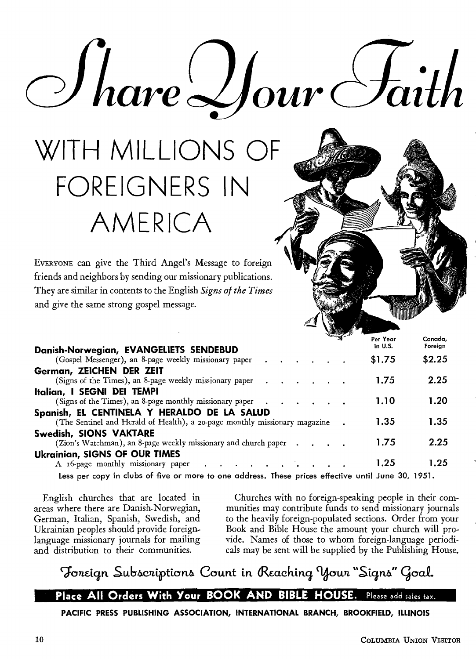WITH MILLIONS OF FOREIGNERS IN AMERICA

EVERYONE can give the Third Angel's Message to foreign friends and neighbors by sending our missionary publications. They are similar in contents to the English *Signs of the Times*  and give the same strong gospel message.

| Danish-Norwegian, EVANGELIETS SENDEBUD                                                                                    |  |  | ~™ਗੁ~ | Per Year<br>in U.S. | Canada,<br>Foreign |
|---------------------------------------------------------------------------------------------------------------------------|--|--|-------|---------------------|--------------------|
| (Gospel Messenger), an 8-page weekly missionary paper                                                                     |  |  |       | \$1.75              | \$2.25             |
| German, ZEICHEN DER ZEIT                                                                                                  |  |  |       |                     |                    |
| (Signs of the Times), an 8-page weekly missionary paper                                                                   |  |  |       | 1.75                | 2.25               |
| Italian, I SEGNI DEI TEMPI<br>(Signs of the Times), an 8-page monthly missionary paper                                    |  |  |       | 1.10                | 1.20               |
| Spanish, EL CENTINELA Y HERALDO DE LA SALUD<br>(The Sentinel and Herald of Health), a 20-page monthly missionary magazine |  |  |       | 1.35                | 1.35               |
| Swedish, SIONS VAKTARE<br>(Zion's Watchman), an 8-page weekly missionary and church paper                                 |  |  |       | 1.75                | 2.25               |
| <b>Ukrainian, SIGNS OF OUR TIMES</b><br>A 16-page monthly missionary paper                                                |  |  |       | 1.25                | 1.25               |
|                                                                                                                           |  |  |       |                     |                    |

*o* Hare Hour Faith

Less per copy in clubs of five or more to one address. These prices effective until June 30, 1951.

English churches that are located in areas where there are Danish-Norwegian, German, Italian, Spanish, Swedish, and Ukrainian peoples should provide foreignlanguage missionary journals for mailing and distribution to their communities.

Churches with no foreign-speaking people in their communities may contribute funds to send missionary journals to the heavily foreign-populated sections. Order from your Book and Bible House the amount your church will provide. Names of those to whom foreign-language periodicals may be sent will be supplied by the Publishing House.

## Foreign Subscriptions Count in Reaching Your "Signs" Goal.

### **Place All Orders With Your BOOK AND BIBLE HOUSE.** Please add sales tax.

**PACIFIC PRESS PUBLISHING ASSOCIATION, INTERNATIONAL BRANCH, BROOKFIELD, ILLINOIS**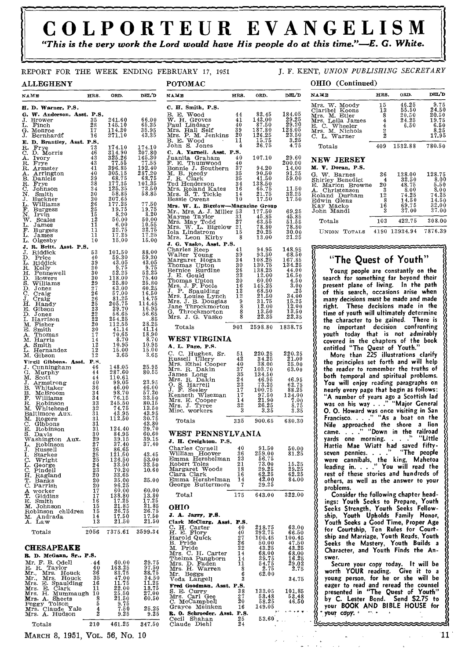## **COLPORTEUR EVANGELISM**

*"This is the very work the Lord would have His people do at this time."-E. G. White.* 

11.50 32.25 17.50

 $\begin{array}{c} 69.25\ 45.85\ 51.55\ 78.80\ 30.00\ 21.25 \end{array}$ 

 $148.95  
\n168.50  
\n167.855  
\n144.00  
\n16.500  
\n16.500  
\n16.200  
\n16.200  
\n16.200  
\n16.200  
\n16.200  
\n16.200  
\n16.500$ 

 $\frac{220.25}{21.00}\atop{25.00}\atop{63.00}\phantom{00}$ 

 $\begin{array}{r} 46.95\ 62.75\ 88.25\ 134.00\ 7.00\ 8.75 \end{array}$ 3.35

680.30

50.00 81.25

15.25 29.25 62.25 84.00

322.00

 $\begin{array}{r} 63.00 \\ 66.50 \\ 100.45 \\ 47.50 \\ 43.25 \\ 68.00 \\ 16.25 \\ 29.02 \\ 2.75 \end{array}$ 

34.75

 $\begin{array}{r} 101.85\ 53.48\ 46.50 \end{array}$ 

| NAME                                                                                                                                                                                                                                                                                         |                       | HRS. ORD. DEL'D                                                                                        |                                  | NAME                                                                                                                                                                                                                                                       |          | HRS. ORD.                                                      | DEL'D                                                                           |
|----------------------------------------------------------------------------------------------------------------------------------------------------------------------------------------------------------------------------------------------------------------------------------------------|-----------------------|--------------------------------------------------------------------------------------------------------|----------------------------------|------------------------------------------------------------------------------------------------------------------------------------------------------------------------------------------------------------------------------------------------------------|----------|----------------------------------------------------------------|---------------------------------------------------------------------------------|
| H. D. Warner, P.S.                                                                                                                                                                                                                                                                           |                       |                                                                                                        |                                  | C. H. Smith, P.S.                                                                                                                                                                                                                                          |          |                                                                |                                                                                 |
| G. W. Anderson, Asst. P.S.                                                                                                                                                                                                                                                                   |                       |                                                                                                        |                                  |                                                                                                                                                                                                                                                            |          |                                                                | 184.05<br>29.25                                                                 |
| J. Brower 35<br>L. Finch 28<br>G. Monroe 17<br>J. Bernhardt 16                                                                                                                                                                                                                               |                       |                                                                                                        |                                  |                                                                                                                                                                                                                                                            |          |                                                                | 29.20                                                                           |
|                                                                                                                                                                                                                                                                                              |                       | $\begin{array}{cccc} 241.60 & 66.00 \ 145.10 & 65.35 \ 114.30 & 35.95 \ 271.10 & 43.35 \end{array}$    |                                  |                                                                                                                                                                                                                                                            |          |                                                                | 128.05<br>23.50                                                                 |
| E. D. Brantley, Asst. P.S.<br>E. D. Brantley, Asst. P.S.<br>R. Frye<br>C. D. Morris (46 314.90 207.80<br>A. Ivory (43 325.26 165.30<br>R. Armster (48 314.90 207.80<br>R. Armster (49 306.35 192.40<br>R. Armster (49 306.35 192.40<br>B. Daniels (40 36.35 192.40<br>B. Dan                 |                       |                                                                                                        |                                  |                                                                                                                                                                                                                                                            |          |                                                                | 3.25                                                                            |
|                                                                                                                                                                                                                                                                                              |                       |                                                                                                        |                                  | 0.01 B. Jones 4.75<br>C. A. Yarnel. Asst. P.S.<br>Juanita Graham 40 107.10 29.60<br>F. E. Thumwood 40<br>Bonnie J. Southern 37 94.20 14.00<br>M. B. Reedy 35 90.50 91.25<br>T. R. Glark 35 41.50 51.25<br>Ted Henderson 34 138.50 51.25<br>Ted             |          |                                                                | 4.75                                                                            |
|                                                                                                                                                                                                                                                                                              |                       |                                                                                                        |                                  |                                                                                                                                                                                                                                                            |          |                                                                |                                                                                 |
|                                                                                                                                                                                                                                                                                              |                       |                                                                                                        |                                  |                                                                                                                                                                                                                                                            |          |                                                                |                                                                                 |
|                                                                                                                                                                                                                                                                                              |                       |                                                                                                        |                                  |                                                                                                                                                                                                                                                            |          |                                                                |                                                                                 |
|                                                                                                                                                                                                                                                                                              |                       |                                                                                                        |                                  |                                                                                                                                                                                                                                                            |          |                                                                |                                                                                 |
|                                                                                                                                                                                                                                                                                              |                       |                                                                                                        |                                  |                                                                                                                                                                                                                                                            |          |                                                                |                                                                                 |
|                                                                                                                                                                                                                                                                                              |                       |                                                                                                        |                                  |                                                                                                                                                                                                                                                            |          |                                                                |                                                                                 |
|                                                                                                                                                                                                                                                                                              |                       |                                                                                                        |                                  | Mrs. W. L. Bigelow-Magazine Group                                                                                                                                                                                                                          |          |                                                                |                                                                                 |
|                                                                                                                                                                                                                                                                                              |                       |                                                                                                        |                                  | Mr. Mrs. A. J. Miller 53 177.50<br>Mayme Taylor 31 45.85<br>Mrs. May Todd 27 63.55<br>Mrs. May Todd 27 63.55<br>Mrs. W. L. Bigelow 21 78.80<br>Jola Lindstrom 15 20.25<br>Mrs. Leon Kirby 8 13.00                                                          |          |                                                                | $\begin{array}{c} 69.25 \\ 45.85 \end{array}$                                   |
|                                                                                                                                                                                                                                                                                              |                       |                                                                                                        |                                  |                                                                                                                                                                                                                                                            |          |                                                                | 51.55<br>78.80                                                                  |
|                                                                                                                                                                                                                                                                                              |                       |                                                                                                        |                                  |                                                                                                                                                                                                                                                            |          |                                                                | 30.00                                                                           |
|                                                                                                                                                                                                                                                                                              |                       |                                                                                                        |                                  | J. G. Vasko, Asst. P.S.                                                                                                                                                                                                                                    |          |                                                                | 21.25                                                                           |
| J. R. Britt, Asst. P.S.                                                                                                                                                                                                                                                                      |                       |                                                                                                        |                                  | J. G. Vasko, Asst. P.S.<br>Charles Reep<br>Walter Young<br>Walter Young<br>Margaret Hogan<br>Margaret Hogan<br>Margaret Hogan<br>Thomas Upton<br>26 138.25<br>J. E. Gould<br>Thomas Upton<br>20 60.00<br>Mrs. J. F. Spaulding<br>12 68.55<br>Mrs. Louise L |          |                                                                | 148.95                                                                          |
|                                                                                                                                                                                                                                                                                              |                       |                                                                                                        |                                  |                                                                                                                                                                                                                                                            |          |                                                                | 68.50                                                                           |
|                                                                                                                                                                                                                                                                                              |                       |                                                                                                        |                                  |                                                                                                                                                                                                                                                            |          |                                                                | $\frac{167.85}{134.25}$                                                         |
|                                                                                                                                                                                                                                                                                              |                       |                                                                                                        |                                  |                                                                                                                                                                                                                                                            |          |                                                                | 44.00                                                                           |
|                                                                                                                                                                                                                                                                                              |                       |                                                                                                        |                                  |                                                                                                                                                                                                                                                            |          |                                                                |                                                                                 |
|                                                                                                                                                                                                                                                                                              |                       |                                                                                                        |                                  |                                                                                                                                                                                                                                                            |          |                                                                | $\begin{array}{r} 44.00\ 16.50\ 4.50\ 3.00\ 25\ 34.00\ 15.25 \end{array}$       |
|                                                                                                                                                                                                                                                                                              |                       |                                                                                                        |                                  |                                                                                                                                                                                                                                                            |          |                                                                |                                                                                 |
|                                                                                                                                                                                                                                                                                              |                       |                                                                                                        |                                  |                                                                                                                                                                                                                                                            |          |                                                                | $15.25$<br>$12.00$                                                              |
|                                                                                                                                                                                                                                                                                              |                       |                                                                                                        |                                  |                                                                                                                                                                                                                                                            |          |                                                                | 13.50<br>22.35                                                                  |
|                                                                                                                                                                                                                                                                                              |                       |                                                                                                        |                                  |                                                                                                                                                                                                                                                            |          |                                                                |                                                                                 |
|                                                                                                                                                                                                                                                                                              |                       |                                                                                                        |                                  | Totals                                                                                                                                                                                                                                                     |          | 901 2598.80 1838.75                                            |                                                                                 |
|                                                                                                                                                                                                                                                                                              |                       |                                                                                                        |                                  | WEST VIRGINIA                                                                                                                                                                                                                                              |          |                                                                |                                                                                 |
|                                                                                                                                                                                                                                                                                              |                       |                                                                                                        |                                  | A. L. Page, P.S.                                                                                                                                                                                                                                           |          |                                                                |                                                                                 |
| J. R. Britt, Asst. P.S.<br>J. Riddick 53 101.50 88.00<br>D. Riddick 39 43.05 59.30<br>D. Riddick 39 43.05 59.30<br>H. Kelly 30 5.25 52.25<br>H. Fennewell 30 52.25<br>S. Williams 29 25.80 75.40<br>D. Jones 27 63.00 60.25<br>C. Craig<br>J. Cr                                             |                       |                                                                                                        |                                  | <b>A. L. Fage, P.S.</b><br>C. C. Hughes, Sr. 51 220.25<br>Russell Ullery 42 34.25<br>Mrs. R. Dakin 37 103.70<br>Mrs. R. Dakin 37 103.70<br>James Long 35 134.50<br>Mrs. R. Dakin 24 46.95<br>Mrs. R. Dakinen Wiseman 17 97.50<br>Kienneh Wiseman 17        |          |                                                                | 220.25<br>21.00                                                                 |
| Virgil Gibbons. Asst. P.S.                                                                                                                                                                                                                                                                   |                       | 148.05                                                                                                 |                                  |                                                                                                                                                                                                                                                            |          |                                                                | 25.00                                                                           |
|                                                                                                                                                                                                                                                                                              |                       | 287.60                                                                                                 | ${\frac{25.95}{80.55}}$          |                                                                                                                                                                                                                                                            |          |                                                                | 63.00                                                                           |
|                                                                                                                                                                                                                                                                                              |                       | $\begin{array}{r} 110.61 \ 99.05 \ 46.00 \ 98.70 \ 76.15 \end{array}$                                  |                                  |                                                                                                                                                                                                                                                            |          |                                                                | $\begin{smallmatrix} 46.95\\ 62.75\\ 88.25 \end{smallmatrix}$                   |
|                                                                                                                                                                                                                                                                                              |                       |                                                                                                        | $\substack{23.95 \\ 46.00}$      |                                                                                                                                                                                                                                                            |          |                                                                |                                                                                 |
|                                                                                                                                                                                                                                                                                              |                       | $\frac{58.70}{76.15}$                                                                                  | $\frac{57.20}{33.50}$<br>$80.15$ |                                                                                                                                                                                                                                                            |          |                                                                | 134.00                                                                          |
|                                                                                                                                                                                                                                                                                              |                       | 245.50                                                                                                 |                                  |                                                                                                                                                                                                                                                            |          |                                                                | $\begin{smallmatrix} 7.06 \\ 7.06 \\ 8.75 \\ 3.35 \end{smallmatrix}$            |
|                                                                                                                                                                                                                                                                                              |                       | $74.75$<br>$43.95$<br>$112.50$                                                                         | $\frac{13.50}{43.95}$            |                                                                                                                                                                                                                                                            |          |                                                                |                                                                                 |
| Virgil Gibbons. Asst. P.N.<br>J. Cunningham<br>M. Scott<br>G. Murphy<br>M. Scott<br>J. Armstrong<br>B. Whitaker<br>B. Welfscoom<br>R. Williams<br>R. Robinson<br>M. Whitehead<br>Baltimore Aux.<br>M. Robinson<br>C. Gibbons<br>C. Gibbons<br>23<br>M. Rogers<br><br>M. Rogers<br>C. Gibbons | 31                    |                                                                                                        | 30.75<br>43.80                   | Totals                                                                                                                                                                                                                                                     |          | 335 900.65 680.30                                              |                                                                                 |
|                                                                                                                                                                                                                                                                                              | 31<br>30 <sub>o</sub> |                                                                                                        |                                  | WEST PENNSYLVANIA                                                                                                                                                                                                                                          |          |                                                                |                                                                                 |
| C. Gubous<br>E. Robinson<br>S. Davis<br>Washington Aux.<br>L. Robinson<br>C. Robinson                                                                                                                                                                                                        | 29                    | $\begin{array}{@{}ll@{}} 124.40 & 29.70 \ 84.95 & 60.60 \ 39.15 & 39.15 \ 37.49 & 37.40 \ \end{array}$ |                                  | J. H. Creighton. P.S.                                                                                                                                                                                                                                      |          |                                                                |                                                                                 |
| J.<br>Russell                                                                                                                                                                                                                                                                                | 27<br>26              | 86.65                                                                                                  |                                  | Charles Cornell 40 91.50 50.00                                                                                                                                                                                                                             |          |                                                                |                                                                                 |
| Starkes                                                                                                                                                                                                                                                                                      | 25                    | 121.50                                                                                                 | 43.45                            | William Hoover                                                                                                                                                                                                                                             | 36<br>23 | 259.00<br>56.75                                                | 81.25                                                                           |
| С.<br>Wright<br>L. George                                                                                                                                                                                                                                                                    | 25<br>$^{24}_{23}$    | 126.50<br>33.50                                                                                        | $\frac{53.00}{33.50}$            | Emma Hershelman<br>Robert Toles                                                                                                                                                                                                                            | 21       | 73.00                                                          |                                                                                 |
| C.<br>Pindell<br>H. Ragland                                                                                                                                                                                                                                                                  | 20                    | 70.20<br>33.65                                                                                         | 10.60                            | Margaret Woods<br>Clara Clark                                                                                                                                                                                                                              | 18<br>16 | 29.25<br>62.25                                                 | $\begin{smallmatrix} 15.25\\29.25\\62.25 \end{smallmatrix}$                     |
| Τ.<br>Banks                                                                                                                                                                                                                                                                                  | 20                    | 35.00                                                                                                  | 35.00                            | Emma Hershelman                                                                                                                                                                                                                                            | 14       | 42.00                                                          | 84.00                                                                           |
| C. Parrish<br>A worker                                                                                                                                                                                                                                                                       | 20<br>17              | 96.25<br>60.00                                                                                         | 60.00                            | George Buttermore                                                                                                                                                                                                                                          | 7        | 29.25                                                          |                                                                                 |
| T.<br>Giddins                                                                                                                                                                                                                                                                                | 17                    | 138.80                                                                                                 | $\frac{13.80}{17.25}$            | Total                                                                                                                                                                                                                                                      | 175      | 643.00                                                         | 322.00                                                                          |
| E. Smith<br>M. Johnson                                                                                                                                                                                                                                                                       | 16<br>15              | 17.25<br>21.85                                                                                         | 21.85                            | OHIO                                                                                                                                                                                                                                                       |          |                                                                |                                                                                 |
| Robinson children                                                                                                                                                                                                                                                                            | 15<br>14              | 26.75<br>17.50                                                                                         | 26.75<br>17.50                   | J. A. Jarry, P.S.                                                                                                                                                                                                                                          |          |                                                                |                                                                                 |
| M. Andrada<br>A. Law                                                                                                                                                                                                                                                                         | 13                    | 21.50                                                                                                  | 21.50                            | Clark McClurg, Asst. P.S.                                                                                                                                                                                                                                  |          |                                                                |                                                                                 |
| Totals                                                                                                                                                                                                                                                                                       | 2056                  | 7375.61                                                                                                | 3599.34                          | C. H. Carter<br>H. E. Flory<br>Harold Quick                                                                                                                                                                                                                | 40<br>40 | $\substack{218.75 \\ 292.75}$                                  | 63.0(                                                                           |
|                                                                                                                                                                                                                                                                                              |                       |                                                                                                        |                                  |                                                                                                                                                                                                                                                            | 27       | 100.45                                                         |                                                                                 |
| <b>CHESAPEAKE</b>                                                                                                                                                                                                                                                                            |                       |                                                                                                        |                                  |                                                                                                                                                                                                                                                            | 26<br>22 | $\begin{array}{c} 50.00 \\ 43.25 \end{array}$                  |                                                                                 |
| R. D. McGann, Sr., P.S.                                                                                                                                                                                                                                                                      |                       |                                                                                                        |                                  | Harold Quek<br>B. Pride<br>M. Pride<br>M. S. C. H. Carter<br>Thelma Pangborn<br>Mrs. B. Warren<br>Mr. Beggs<br>V. Coda Langell<br>T. Coda Langell<br>N. Coda Langell                                                                                       | 14       | $\begin{array}{c} 68.00 \\ 39.75 \\ 54.75 \\ 2.75 \end{array}$ | $66.50$<br>$100.4$<br>$47.50$<br>$43.2$<br>$68.0$<br>$68.2$<br>$16.2$<br>$29.9$ |
| Mr. F. B. Odell                                                                                                                                                                                                                                                                              | . 44                  | 60.00                                                                                                  | 29.75                            |                                                                                                                                                                                                                                                            | 14<br>11 |                                                                |                                                                                 |
| E. R. Taylor<br>Mr., Mrs. Houck                                                                                                                                                                                                                                                              | 40<br>36              | 163.25<br>83.75                                                                                        | 97.50<br>38.75                   |                                                                                                                                                                                                                                                            | 8<br>6   | 62.00                                                          | 2.75                                                                            |
| Mrs. Houck<br>Mr.,                                                                                                                                                                                                                                                                           | 35                    | 47.00                                                                                                  | 34.50                            |                                                                                                                                                                                                                                                            | 3        |                                                                | 34.75                                                                           |
| Mrs. E. Spaulding<br>Mrs. E. Clark                                                                                                                                                                                                                                                           | 16<br>11              | 11.75<br>22.00                                                                                         | 11.25<br>13.75                   | Fred Goodman, Asst. P.S.                                                                                                                                                                                                                                   | 38       |                                                                |                                                                                 |
| Mrs. H. Mummaugh 10                                                                                                                                                                                                                                                                          | 8                     | 25.50<br>21.50                                                                                         | 27.00<br>60.50                   | S. E. Curry<br>Mrs. Carl Gee                                                                                                                                                                                                                               | 27       | 133.05<br>$\begin{array}{c} 53.48 \\ 58.25 \end{array}$        | 101.85                                                                          |
|                                                                                                                                                                                                                                                                                              | 5                     | 9.75                                                                                                   |                                  | C. McCampbell<br>Grayce Meinken                                                                                                                                                                                                                            | 20<br>16 | 149.05                                                         | 46.50                                                                           |
| Mrs. A. Sheets<br>Peggy Tolson<br>Mrs. Claude Yale<br>Mrs. A. Hudson                                                                                                                                                                                                                         | 4<br>2                | 7.50<br>9.25                                                                                           | 25.25<br>9.25                    | R. O. Schroeder, Asst. P.S.                                                                                                                                                                                                                                |          |                                                                |                                                                                 |
|                                                                                                                                                                                                                                                                                              | 210                   | 461.25                                                                                                 | 347.50                           | Cecil Shahan<br>Claude Diehl                                                                                                                                                                                                                               | 25<br>24 | 53.60                                                          |                                                                                 |
| Totals                                                                                                                                                                                                                                                                                       |                       |                                                                                                        |                                  |                                                                                                                                                                                                                                                            |          |                                                                |                                                                                 |
| MARCH 8, 1951, VOL. 56, No. 10                                                                                                                                                                                                                                                               |                       |                                                                                                        |                                  |                                                                                                                                                                                                                                                            |          |                                                                |                                                                                 |

#### J. F. KENT, *UNION PUBLISHING SECRETARY*

#### OHIO (Continued)

| NAME                                                                                                                     | HRS.                                                                    | ORD.                                     | <b>DEL'D</b>                                             |
|--------------------------------------------------------------------------------------------------------------------------|-------------------------------------------------------------------------|------------------------------------------|----------------------------------------------------------|
| Mrs. W. Moodv<br>Claribel Koons<br>Mrs. M. Etler<br>Mrs. Leila James<br>E. C. Wheeler<br>Mrs. M. Nichols<br>C. L. Warner | 15<br>$\frac{13}{8}$<br>$\frac{4}{4}$<br>$\frac{4}{2}$<br>$\frac{2}{2}$ | 46.25<br>55.50<br>20.50<br>24.25<br>6.50 | 9.75<br>24.50<br>20.50<br>19.75<br>6.50<br>8.25<br>17.95 |
| Totals                                                                                                                   | 409                                                                     | 1532.88                                  | 780.50                                                   |
| NEW JERSEY<br>M. V. Doran. P.S.                                                                                          |                                                                         |                                          |                                                          |
| G. W. Barnes<br>Shirley Benedict<br>Е.<br>Marion Browne                                                                  | 36<br>4<br>20                                                           | 138.00<br>32.50<br>48.75                 | 128.75<br>8.00<br>5.50                                   |
| A. Christenson<br>Roland Durham<br>Edwin Glenz<br>Kay Macko<br>John Mandl                                                | 3<br>$\frac{12}{8}$<br>16<br>3                                          | 8.00<br>74.25<br>14.50<br>69.75<br>37.00 | 8.00<br>74.25<br>14.50<br>32.00<br>37.00                 |
| Totals                                                                                                                   | 103                                                                     | 422.75                                   | 308.00                                                   |
| UNION<br>TOTALS                                                                                                          |                                                                         | 4190 13934.94                            | 7876.39                                                  |

### **"The Quest of Youth"**

Young people are constantly on the search for something far beyond their present plane of living. In the path of this search, occasions arise when many decisions must be made and made right. These decisions made in the time of youth will ultimately determine the character to be gained. There is no important decision confronting youth today that is not admirably covered in the chapters of the book

entitled "The Quest of Youth." More than 225 illustrations clarify the principles set forth and will help the reader to remember the truths of both temporal and spiritual problems. You will enjoy reading paragraphs on nearly every page that begin as follows: "A number of years ago a Scottish lad was on his way . . ." "Major General 0. 0. Howard was once visiting in San Francisco. . . ." "As a boat on the Nile approached the shore a lion came. . . ." "Down in the railroad yards one morning. . . ." "Little Hattie Mae Wiatt had saved fiftyseven pennies. . . ." "The people were cannibals, the king, Mahetoa leading in. . . ." You will read the rest of these stories and hundreds of others, as well as the answer to your problems.

Consider the following chapter headings: Youth Seeks to Prepare, Youth Seeks Strength, Youth Seeks Fellowship, Youth Upholds Family Honor, Youth Seeks a Good Time, Proper Age for Courtship, Ten Rules for Courtship and Marriage, Youth Reads, Youth Seeks the Mastery, Youth Builds a Character, and Youth Finds the Answer.

Secure your copy today. It will be worth YOUR reading. Give it to a young person, for he or she will be eager to read and reread the counsel presented in "The Quest of Youth" by C. Lester Bond. Send \$2.75 to your BOOK AND BIBLE HOUSE for your copy. .

11